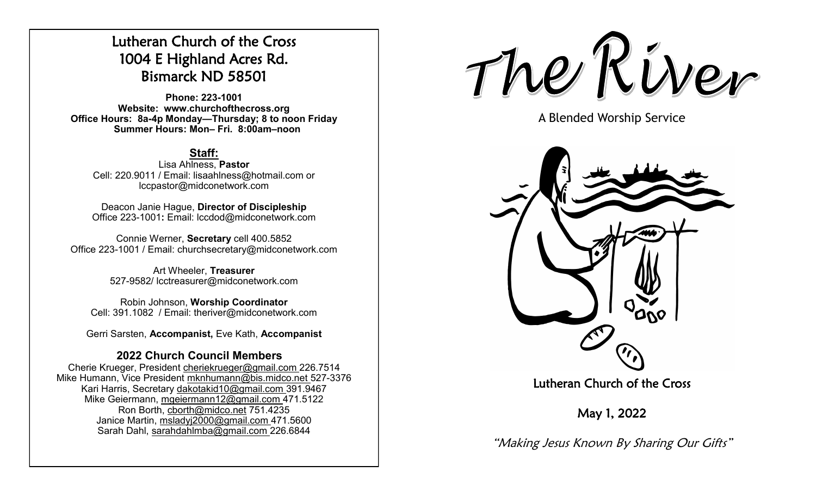# Lutheran Church of the Cross 1004 E Highland Acres Rd. Bismarck ND 58501

**Phone: 223-1001 Website: www.churchofthecross.org Office Hours: 8a-4p Monday—Thursday; 8 to noon Friday Summer Hours: Mon– Fri. 8:00am–noon**

# **Staff:**

Lisa Ahlness, **Pastor** Cell: 220.9011 / Email: lisaahlness@hotmail.com or lccpastor@midconetwork.com

Deacon Janie Hague, **Director of Discipleship** Office 223-1001**:** Email: lccdod@midconetwork.com

Connie Werner, **Secretary** cell 400.5852 Office 223-1001 / Email: churchsecretary@midconetwork.com

> Art Wheeler, **Treasurer** 527-9582/ lcctreasurer@midconetwork.com

Robin Johnson, **Worship Coordinator**  Cell: 391.1082 / Email: theriver@midconetwork.com

Gerri Sarsten, **Accompanist,** Eve Kath, **Accompanist**

# **2022 Church Council Members**

Cherie Krueger, President cheriekrueger@gmail.com 226.7514 Mike Humann, Vice President mknhumann@bis.midco.net 527-3376 Kari Harris, Secretary dakotakid10@gmail.com 391.9467 Mike Geiermann, mgeiermann12@gmail.com 471.5122 Ron Borth, [cborth@midco.net](mailto:cborth@midco.net) 751.4235 Janice Martin, msladyj2000@gmail.com 471.5600 Sarah Dahl, sarahdahlmba@gmail.com 226.6844

The River

A Blended Worship Service



Lutheran Church of the Cross

May 1, 2022

"Making Jesus Known By Sharing Our Gifts"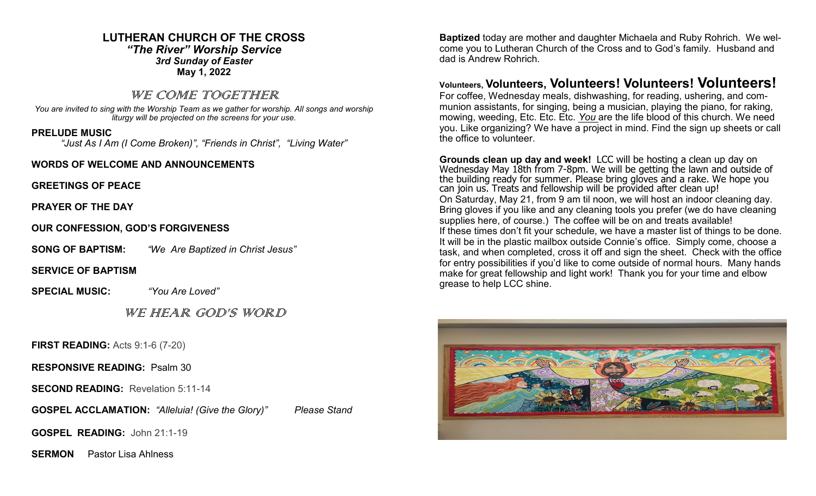### **LUTHERAN CHURCH OF THE CROSS** *"The River" Worship Service 3rd Sunday of Easter* **May 1, 2022**

### WE COME TOGETHER

*You are invited to sing with the Worship Team as we gather for worship. All songs and worship liturgy will be projected on the screens for your use.* 

### **PRELUDE MUSIC**

*"Just As I Am (I Come Broken)", "Friends in Christ", "Living Water"*

### **WORDS OF WELCOME AND ANNOUNCEMENTS**

**GREETINGS OF PEACE**

**PRAYER OF THE DAY**

**OUR CONFESSION, GOD'S FORGIVENESS**

**SONG OF BAPTISM:** *"We Are Baptized in Christ Jesus"*

**SERVICE OF BAPTISM**

**SPECIAL MUSIC:** *"You Are Loved"*

WE HEAR GOD'S WORD

**FIRST READING:** Acts 9:1-6 (7-20)

**RESPONSIVE READING:** Psalm 30

**SECOND READING:** Revelation 5:11-14

**GOSPEL ACCLAMATION:** *"Alleluia! (Give the Glory)" Please Stand*

**GOSPEL READING:** John 21:1-19

**SERMON** Pastor Lisa Ahlness

**Baptized** today are mother and daughter Michaela and Ruby Rohrich. We welcome you to Lutheran Church of the Cross and to God's family. Husband and dad is Andrew Rohrich.

# **Volunteers, Volunteers, Volunteers! Volunteers! Volunteers!**

For coffee, Wednesday meals, dishwashing, for reading, ushering, and communion assistants, for singing, being a musician, playing the piano, for raking, mowing, weeding, Etc. Etc. Etc. *You* are the life blood of this church. We need you. Like organizing? We have a project in mind. Find the sign up sheets or call the office to volunteer.

**Grounds clean up day and week!** LCC will be hosting a clean up day on Wednesday May 18th from 7-8pm. We will be getting the lawn and outside of the building ready for summer. Please bring gloves and a rake. We hope you can join us. Treats and fellowship will be provided after clean up! On Saturday, May 21, from 9 am til noon, we will host an indoor cleaning day. Bring gloves if you like and any cleaning tools you prefer (we do have cleaning supplies here, of course.) The coffee will be on and treats available! If these times don't fit your schedule, we have a master list of things to be done. It will be in the plastic mailbox outside Connie's office. Simply come, choose a task, and when completed, cross it off and sign the sheet. Check with the office for entry possibilities if you'd like to come outside of normal hours. Many hands make for great fellowship and light work! Thank you for your time and elbow grease to help LCC shine.

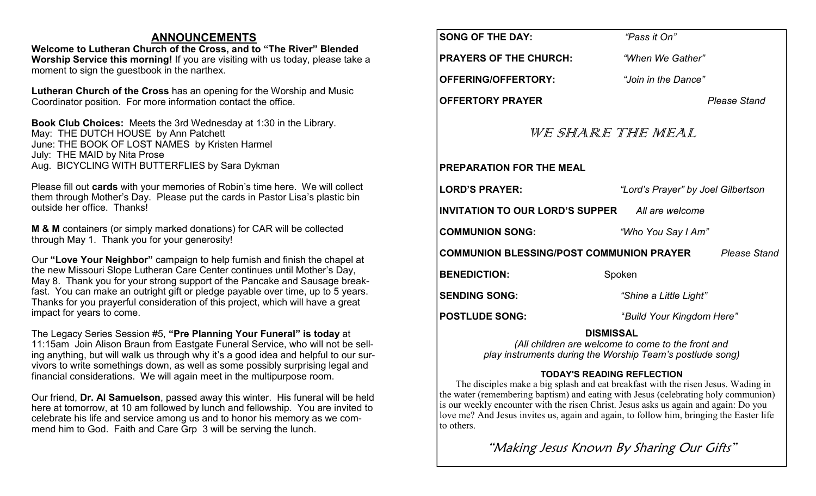### **ANNOUNCEMENTS**

**Welcome to Lutheran Church of the Cross, and to "The River" Blended Worship Service this morning!** If you are visiting with us today, please take a moment to sign the guestbook in the narthex.

**Lutheran Church of the Cross** has an opening for the Worship and Music Coordinator position. For more information contact the office.

**Book Club Choices:** Meets the 3rd Wednesday at 1:30 in the Library. May: THE DUTCH HOUSE by Ann Patchett June: THE BOOK OF LOST NAMES by Kristen Harmel July: THE MAID by Nita Prose Aug. BICYCLING WITH BUTTERFLIES by Sara Dykman

Please fill out **cards** with your memories of Robin's time here. We will collect them through Mother's Day. Please put the cards in Pastor Lisa's plastic bin outside her office. Thanks!

**M & M** containers (or simply marked donations) for CAR will be collected through May 1. Thank you for your generosity!

Our **"Love Your Neighbor"** campaign to help furnish and finish the chapel at the new Missouri Slope Lutheran Care Center continues until Mother's Day, May 8. Thank you for your strong support of the Pancake and Sausage breakfast. You can make an outright gift or pledge payable over time, up to 5 years. Thanks for you prayerful consideration of this project, which will have a great impact for years to come.

The Legacy Series Session #5, **"Pre Planning Your Funeral" is today** at 11:15am Join Alison Braun from Eastgate Funeral Service, who will not be selling anything, but will walk us through why it's a good idea and helpful to our survivors to write somethings down, as well as some possibly surprising legal and financial considerations. We will again meet in the multipurpose room.

Our friend, **Dr. Al Samuelson**, passed away this winter. His funeral will be held here at tomorrow, at 10 am followed by lunch and fellowship. You are invited to celebrate his life and service among us and to honor his memory as we commend him to God. Faith and Care Grp 3 will be serving the lunch.

| <b>SONG OF THE DAY:</b>                                                                                                             | "Pass it On"                       |  |
|-------------------------------------------------------------------------------------------------------------------------------------|------------------------------------|--|
| <b>PRAYERS OF THE CHURCH:</b>                                                                                                       | "When We Gather"                   |  |
| OFFERING/OFFERTORY:                                                                                                                 | "Join in the Dance"                |  |
| <b>OFFERTORY PRAYER</b>                                                                                                             | <b>Please Stand</b>                |  |
| WE SHARE THE MEAL                                                                                                                   |                                    |  |
| <b>PREPARATION FOR THE MEAL</b>                                                                                                     |                                    |  |
| <b>LORD'S PRAYER:</b>                                                                                                               | "Lord's Prayer" by Joel Gilbertson |  |
| <b>INVITATION TO OUR LORD'S SUPPER</b> All are welcome                                                                              |                                    |  |
| <b>COMMUNION SONG:</b>                                                                                                              | "Who You Say I Am"                 |  |
| <b>COMMUNION BLESSING/POST COMMUNION PRAYER</b> Please Stand                                                                        |                                    |  |
| <b>BENEDICTION:</b>                                                                                                                 | Spoken                             |  |
| <b>SENDING SONG:</b>                                                                                                                | "Shine a Little Light"             |  |
| <b>POSTLUDE SONG:</b>                                                                                                               | "Build Your Kingdom Here"          |  |
| <b>DISMISSAL</b><br>(All children are welcome to come to the front and<br>play instruments during the Worship Team's postlude song) |                                    |  |

### **TODAY'S READING REFLECTION**

The disciples make a big splash and eat breakfast with the risen Jesus. Wading in the water (remembering baptism) and eating with Jesus (celebrating holy communion) is our weekly encounter with the risen Christ. Jesus asks us again and again: Do you love me? And Jesus invites us, again and again, to follow him, bringing the Easter life to others.

"Making Jesus Known By Sharing Our Gifts"